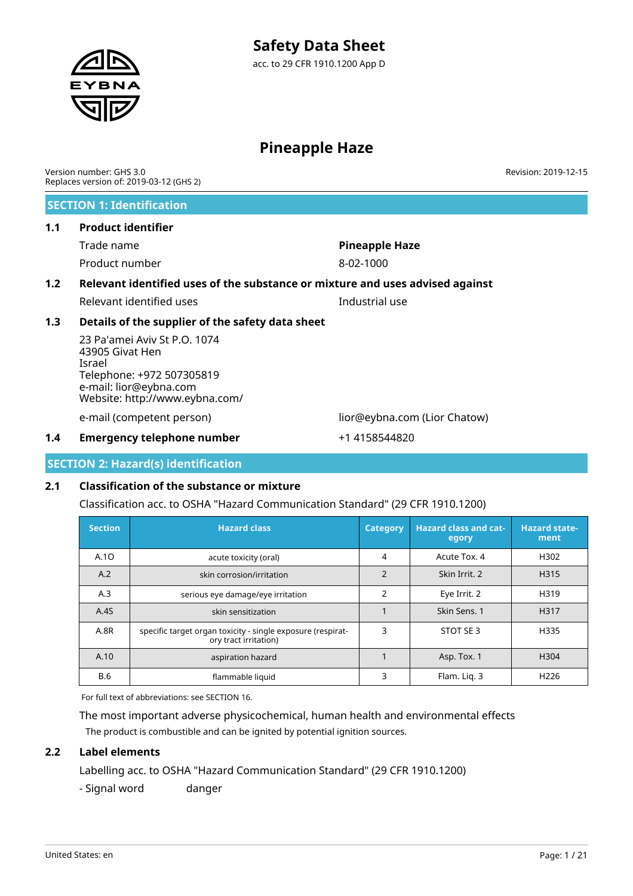# **Pineapple Haze**

Version number: GHS 3.0 Replaces version of: 2019-03-12 (GHS 2)

# **SECTION 1: Identification**

### **1.1 Product identifier**

Trade name **Pineapple Haze** Product number 8-02-1000

# **1.2 Relevant identified uses of the substance or mixture and uses advised against** Relevant identified uses Industrial use

# **1.3 Details of the supplier of the safety data sheet**

23 Pa'amei Aviv St P.O. 1074 43905 Givat Hen Israel Telephone: +972 507305819 e-mail: lior@eybna.com Website: http://www.eybna.com/

e-mail (competent person) lior@eybna.com (Lior Chatow)

## **1.4 Emergency telephone number** +1 4158544820

#### **SECTION 2: Hazard(s) identification**

# **2.1 Classification of the substance or mixture**

Classification acc. to OSHA "Hazard Communication Standard" (29 CFR 1910.1200)

| <b>Section</b> | <b>Hazard class</b>                                                                  | <b>Category</b> | <b>Hazard class and cat-</b><br>egory | <b>Hazard state-</b><br>ment |
|----------------|--------------------------------------------------------------------------------------|-----------------|---------------------------------------|------------------------------|
| A.10           | acute toxicity (oral)                                                                | 4               | Acute Tox, 4                          | H302                         |
| A.2            | skin corrosion/irritation                                                            | $\overline{2}$  | Skin Irrit. 2                         | H315                         |
| A.3            | serious eye damage/eye irritation                                                    | $\overline{2}$  | Eye Irrit. 2                          | H319                         |
| A.4S           | skin sensitization                                                                   |                 | Skin Sens. 1                          | H317                         |
| A.8R           | specific target organ toxicity - single exposure (respirat-<br>ory tract irritation) | 3               | STOT SE 3                             | H335                         |
| A.10           | aspiration hazard                                                                    |                 | Asp. Tox. 1                           | H <sub>304</sub>             |
| <b>B.6</b>     | flammable liquid                                                                     | 3               | Flam. Lig. 3                          | H <sub>226</sub>             |

For full text of abbreviations: see SECTION 16.

The most important adverse physicochemical, human health and environmental effects The product is combustible and can be ignited by potential ignition sources.

# **2.2 Label elements**

Labelling acc. to OSHA "Hazard Communication Standard" (29 CFR 1910.1200)

- Signal word danger

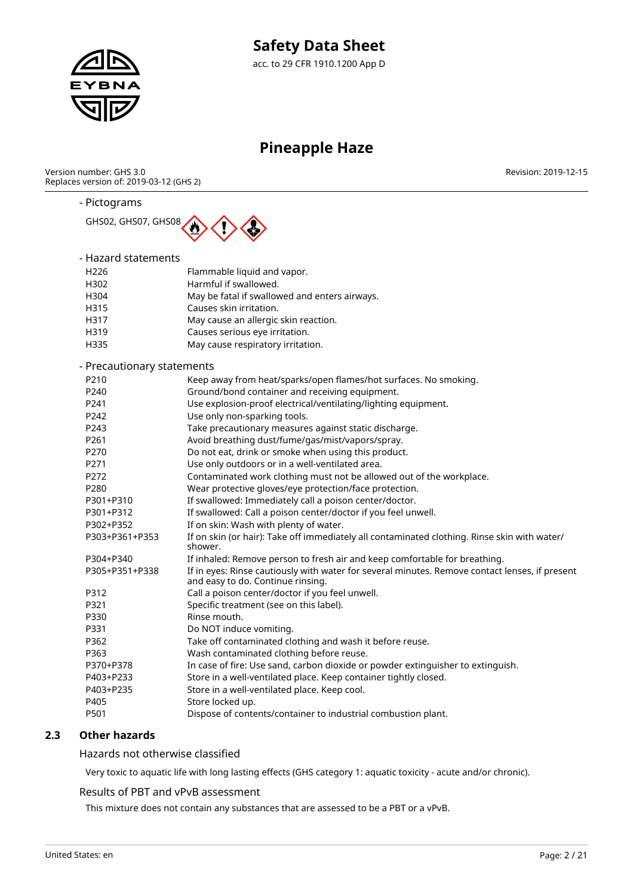

# **Pineapple Haze**

Version number: GHS 3.0 Replaces version of: 2019-03-12 (GHS 2) Revision: 2019-12-15

### - Pictograms



# - Hazard statements

| H <sub>226</sub>           | Flammable liquid and vapor.                                                                             |
|----------------------------|---------------------------------------------------------------------------------------------------------|
| H302                       | Harmful if swallowed.                                                                                   |
| H304                       | May be fatal if swallowed and enters airways.                                                           |
| H315                       | Causes skin irritation.                                                                                 |
| H317                       | May cause an allergic skin reaction.                                                                    |
| H319                       | Causes serious eye irritation.                                                                          |
| H335                       | May cause respiratory irritation.                                                                       |
| - Precautionary statements |                                                                                                         |
| P210                       | Keep away from heat/sparks/open flames/hot surfaces. No smoking.                                        |
| P <sub>240</sub>           | Ground/bond container and receiving equipment.                                                          |
| P241                       | Use explosion-proof electrical/ventilating/lighting equipment.                                          |
| P242                       | Use only non-sparking tools.                                                                            |
| P243                       | Take precautionary measures against static discharge.                                                   |
| P261                       | Avoid breathing dust/fume/gas/mist/vapors/spray.                                                        |
| P270                       | Do not eat, drink or smoke when using this product.                                                     |
| P271                       | Use only outdoors or in a well-ventilated area.                                                         |
| P272                       | Contaminated work clothing must not be allowed out of the workplace.                                    |
| P280                       | Wear protective gloves/eye protection/face protection.                                                  |
| P301+P310                  | If swallowed: Immediately call a poison center/doctor.                                                  |
| P301+P312                  | If swallowed: Call a poison center/doctor if you feel unwell.                                           |
| P302+P352                  | If on skin: Wash with plenty of water.                                                                  |
| P303+P361+P353             | If on skin (or hair): Take off immediately all contaminated clothing. Rinse skin with water/<br>shower. |
| P304+P340                  | If inhaled: Remove person to fresh air and keep comfortable for breathing.                              |
|                            |                                                                                                         |

| P305+P351+P338 | If in eyes: Rinse cautiously with water for several minutes. Remove contact lenses, if present<br>and easy to do. Continue rinsing. |  |  |
|----------------|-------------------------------------------------------------------------------------------------------------------------------------|--|--|
|                |                                                                                                                                     |  |  |

| Call a poison center/doctor if you feel unwell. |
|-------------------------------------------------|
|                                                 |

| P321      | Specific treatment (see on this label).                                         |
|-----------|---------------------------------------------------------------------------------|
| P330      | Rinse mouth.                                                                    |
| P331      | Do NOT induce vomiting.                                                         |
| P362      | Take off contaminated clothing and wash it before reuse.                        |
| P363      | Wash contaminated clothing before reuse.                                        |
| P370+P378 | In case of fire: Use sand, carbon dioxide or powder extinguisher to extinguish. |
| P403+P233 | Store in a well-ventilated place. Keep container tightly closed.                |
| P403+P235 | Store in a well-ventilated place. Keep cool.                                    |
| P405      | Store locked up.                                                                |
| P501      | Dispose of contents/container to industrial combustion plant.                   |

# **2.3 Other hazards**

Hazards not otherwise classified

Very toxic to aquatic life with long lasting effects (GHS category 1: aquatic toxicity - acute and/or chronic).

### Results of PBT and vPvB assessment

This mixture does not contain any substances that are assessed to be a PBT or a vPvB.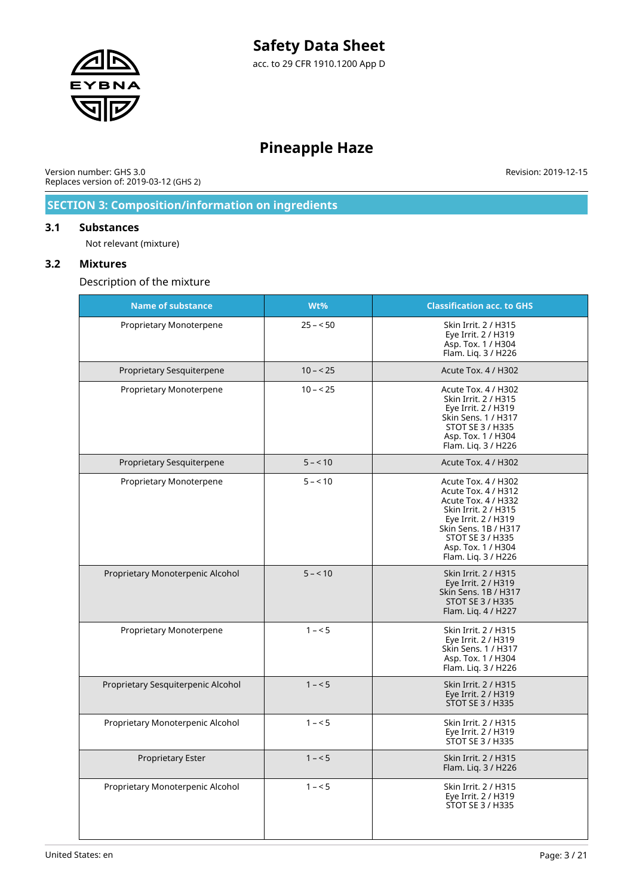

# **Pineapple Haze**

Version number: GHS 3.0 Replaces version of: 2019-03-12 (GHS 2) Revision: 2019-12-15

# **SECTION 3: Composition/information on ingredients**

#### **3.1 Substances**

Not relevant (mixture)

# **3.2 Mixtures**

Description of the mixture

| <b>Name of substance</b>           | Wt%       | <b>Classification acc. to GHS</b>                                                                                                                                                                                |
|------------------------------------|-----------|------------------------------------------------------------------------------------------------------------------------------------------------------------------------------------------------------------------|
| Proprietary Monoterpene            | $25 - 50$ | Skin Irrit. 2 / H315<br>Eye Irrit. 2 / H319<br>Asp. Tox. 1 / H304<br>Flam. Lig. 3 / H226                                                                                                                         |
| Proprietary Sesquiterpene          | $10 - 25$ | <b>Acute Tox. 4 / H302</b>                                                                                                                                                                                       |
| Proprietary Monoterpene            | $10 - 25$ | Acute Tox. 4 / H302<br>Skin Irrit. 2 / H315<br>Eye Irrit. 2 / H319<br>Skin Sens. 1 / H317<br>STOT SE 3 / H335<br>Asp. Tox. 1 / H304<br>Flam. Lig. 3 / H226                                                       |
| Proprietary Sesquiterpene          | $5 - 10$  | <b>Acute Tox. 4 / H302</b>                                                                                                                                                                                       |
| Proprietary Monoterpene            | $5 - 10$  | Acute Tox. 4 / H302<br>Acute Tox. 4 / H312<br>Acute Tox. 4 / H332<br>Skin Irrit. 2 / H315<br>Eye Irrit. 2 / H319<br>Skin Sens. 1B / H317<br><b>STOT SE 3 / H335</b><br>Asp. Tox. 1 / H304<br>Flam. Liq. 3 / H226 |
| Proprietary Monoterpenic Alcohol   | $5 - 10$  | Skin Irrit. 2 / H315<br>Eye Irrit. 2 / H319<br>Skin Sens, 1B / H317<br><b>STOT SE 3 / H335</b><br>Flam. Lig. 4 / H227                                                                                            |
| Proprietary Monoterpene            | $1 - 5$   | Skin Irrit. 2 / H315<br>Eye Irrit. 2 / H319<br>Skin Sens. 1 / H317<br>Asp. Tox. 1 / H304<br>Flam. Liq. 3 / H226                                                                                                  |
| Proprietary Sesquiterpenic Alcohol | $1 - 5$   | Skin Irrit. 2 / H315<br>Eye Irrit. 2 / H319<br><b>STOT SE 3 / H335</b>                                                                                                                                           |
| Proprietary Monoterpenic Alcohol   | $1 - 5$   | Skin Irrit. 2 / H315<br>Eye Irrit. 2 / H319<br><b>STOT SE 3 / H335</b>                                                                                                                                           |
| <b>Proprietary Ester</b>           | $1 - 5$   | Skin Irrit. 2 / H315<br>Flam. Lig. 3 / H226                                                                                                                                                                      |
| Proprietary Monoterpenic Alcohol   | $1 - 5$   | Skin Irrit. 2 / H315<br>Eye Irrit. 2 / H319<br>STOT SE 3 / H335                                                                                                                                                  |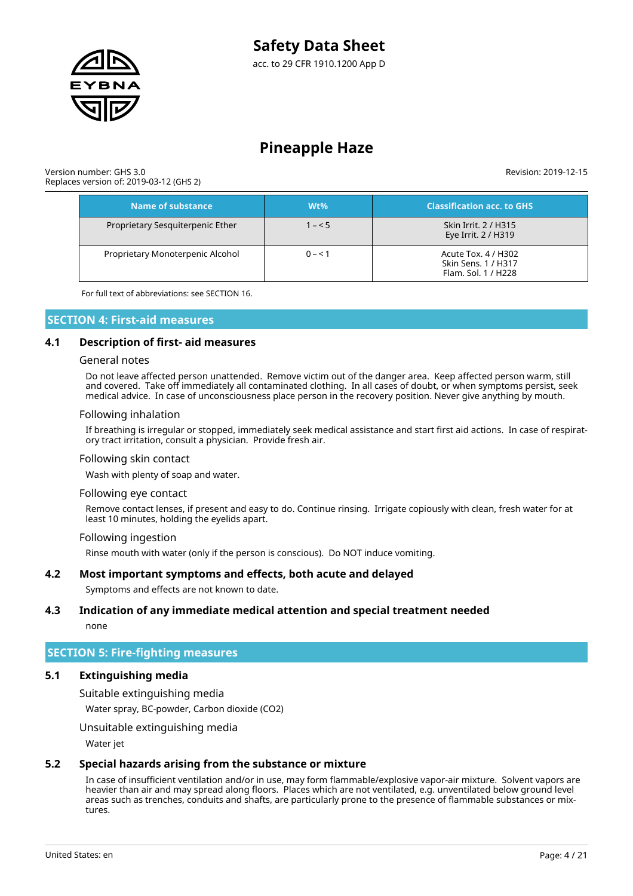

Version number: GHS 3.0 Replaces version of: 2019-03-12 (GHS 2) Revision: 2019-12-15

| Name of substance                | Wt%     | <b>Classification acc. to GHS</b>                                 |
|----------------------------------|---------|-------------------------------------------------------------------|
| Proprietary Sesquiterpenic Ether | $1 - 5$ | Skin Irrit. 2 / H315<br>Eye Irrit. 2 / H319                       |
| Proprietary Monoterpenic Alcohol | $0 - 1$ | Acute Tox. 4 / H302<br>Skin Sens. 1 / H317<br>Flam. Sol. 1 / H228 |

For full text of abbreviations: see SECTION 16.

### **SECTION 4: First-aid measures**

#### **4.1 Description of first- aid measures**

#### General notes

Do not leave affected person unattended. Remove victim out of the danger area. Keep affected person warm, still and covered. Take off immediately all contaminated clothing. In all cases of doubt, or when symptoms persist, seek medical advice. In case of unconsciousness place person in the recovery position. Never give anything by mouth.

#### Following inhalation

If breathing is irregular or stopped, immediately seek medical assistance and start first aid actions. In case of respiratory tract irritation, consult a physician. Provide fresh air.

#### Following skin contact

Wash with plenty of soap and water.

#### Following eye contact

Remove contact lenses, if present and easy to do. Continue rinsing. Irrigate copiously with clean, fresh water for at least 10 minutes, holding the eyelids apart.

#### Following ingestion

Rinse mouth with water (only if the person is conscious). Do NOT induce vomiting.

#### **4.2 Most important symptoms and effects, both acute and delayed**

Symptoms and effects are not known to date.

#### **4.3 Indication of any immediate medical attention and special treatment needed**

none

#### **SECTION 5: Fire-fighting measures**

#### **5.1 Extinguishing media**

Suitable extinguishing media

Water spray, BC-powder, Carbon dioxide (CO2)

Unsuitable extinguishing media

Water jet

#### **5.2 Special hazards arising from the substance or mixture**

In case of insufficient ventilation and/or in use, may form flammable/explosive vapor-air mixture. Solvent vapors are heavier than air and may spread along floors. Places which are not ventilated, e.g. unventilated below ground level areas such as trenches, conduits and shafts, are particularly prone to the presence of flammable substances or mixtures.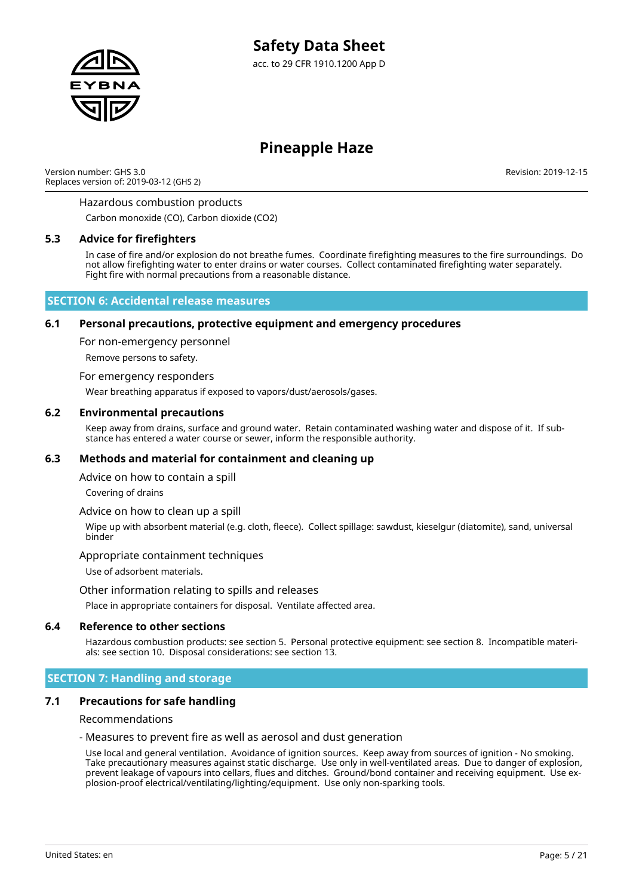

Version number: GHS 3.0 Replaces version of: 2019-03-12 (GHS 2) Revision: 2019-12-15

#### Hazardous combustion products

Carbon monoxide (CO), Carbon dioxide (CO2)

#### **5.3 Advice for firefighters**

In case of fire and/or explosion do not breathe fumes. Coordinate firefighting measures to the fire surroundings. Do not allow firefighting water to enter drains or water courses. Collect contaminated firefighting water separately. Fight fire with normal precautions from a reasonable distance.

#### **SECTION 6: Accidental release measures**

#### **6.1 Personal precautions, protective equipment and emergency procedures**

For non-emergency personnel

Remove persons to safety.

#### For emergency responders

Wear breathing apparatus if exposed to vapors/dust/aerosols/gases.

#### **6.2 Environmental precautions**

Keep away from drains, surface and ground water. Retain contaminated washing water and dispose of it. If substance has entered a water course or sewer, inform the responsible authority.

#### **6.3 Methods and material for containment and cleaning up**

Advice on how to contain a spill

Covering of drains

#### Advice on how to clean up a spill

Wipe up with absorbent material (e.g. cloth, fleece). Collect spillage: sawdust, kieselgur (diatomite), sand, universal binder

#### Appropriate containment techniques

Use of adsorbent materials.

#### Other information relating to spills and releases

Place in appropriate containers for disposal. Ventilate affected area.

#### **6.4 Reference to other sections**

Hazardous combustion products: see section 5. Personal protective equipment: see section 8. Incompatible materials: see section 10. Disposal considerations: see section 13.

#### **SECTION 7: Handling and storage**

#### **7.1 Precautions for safe handling**

#### Recommendations

#### - Measures to prevent fire as well as aerosol and dust generation

Use local and general ventilation. Avoidance of ignition sources. Keep away from sources of ignition - No smoking. Take precautionary measures against static discharge. Use only in well-ventilated areas. Due to danger of explosion, prevent leakage of vapours into cellars, flues and ditches. Ground/bond container and receiving equipment. Use explosion-proof electrical/ventilating/lighting/equipment. Use only non-sparking tools.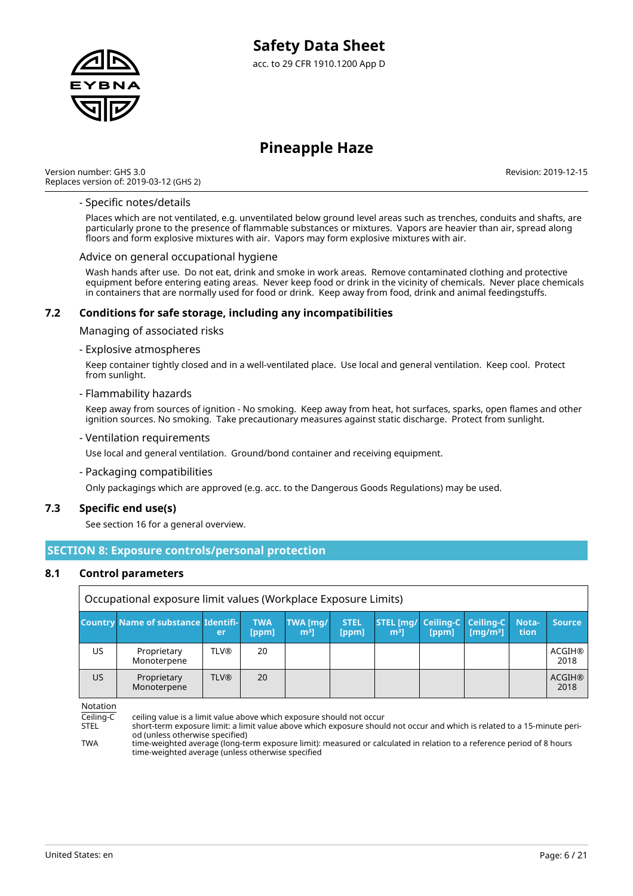

Version number: GHS 3.0 Replaces version of: 2019-03-12 (GHS 2) Revision: 2019-12-15

#### - Specific notes/details

Places which are not ventilated, e.g. unventilated below ground level areas such as trenches, conduits and shafts, are particularly prone to the presence of flammable substances or mixtures. Vapors are heavier than air, spread along floors and form explosive mixtures with air. Vapors may form explosive mixtures with air.

#### Advice on general occupational hygiene

Wash hands after use. Do not eat, drink and smoke in work areas. Remove contaminated clothing and protective equipment before entering eating areas. Never keep food or drink in the vicinity of chemicals. Never place chemicals in containers that are normally used for food or drink. Keep away from food, drink and animal feedingstuffs.

#### **7.2 Conditions for safe storage, including any incompatibilities**

Managing of associated risks

#### - Explosive atmospheres

Keep container tightly closed and in a well-ventilated place. Use local and general ventilation. Keep cool. Protect from sunlight.

#### - Flammability hazards

Keep away from sources of ignition - No smoking. Keep away from heat, hot surfaces, sparks, open flames and other ignition sources. No smoking. Take precautionary measures against static discharge. Protect from sunlight.

#### - Ventilation requirements

Use local and general ventilation. Ground/bond container and receiving equipment.

- Packaging compatibilities

Only packagings which are approved (e.g. acc. to the Dangerous Goods Regulations) may be used.

#### **7.3 Specific end use(s)**

See section 16 for a general overview.

### **SECTION 8: Exposure controls/personal protection**

#### **8.1 Control parameters**

|     | Occupational exposure limit values (Workplace Exposure Limits) |             |                     |                              |                      |                                    |                                |                               |               |                       |
|-----|----------------------------------------------------------------|-------------|---------------------|------------------------------|----------------------|------------------------------------|--------------------------------|-------------------------------|---------------|-----------------------|
|     | <b>Country Name of substance Identifi-</b>                     | 'er         | <b>TWA</b><br>[ppm] | TWA [mg/<br>m <sup>3</sup> 1 | <b>STEL</b><br>[ppm] | <b>STEL [mg/</b><br>m <sup>3</sup> | Ceiling-C   Ceiling-C<br>[ppm] | $\left[\frac{mq}{m^3}\right]$ | Nota-<br>tion | <b>Source</b>         |
| US. | Proprietary<br>Monoterpene                                     | <b>TLV®</b> | 20                  |                              |                      |                                    |                                |                               |               | <b>ACGIH®</b><br>2018 |
| US. | 20<br><b>TLV®</b><br>Proprietary<br>2018<br>Monoterpene        |             |                     |                              |                      |                                    |                                |                               | <b>ACGIH®</b> |                       |

Notation

Ceiling-C ceiling value is a limit value above which exposure should not occur

STEL short-term exposure limit: a limit value above which exposure should not occur and which is related to a 15-minute period (unless otherwise specified)

TWA time-weighted average (long-term exposure limit): measured or calculated in relation to a reference period of 8 hours time-weighted average (unless otherwise specified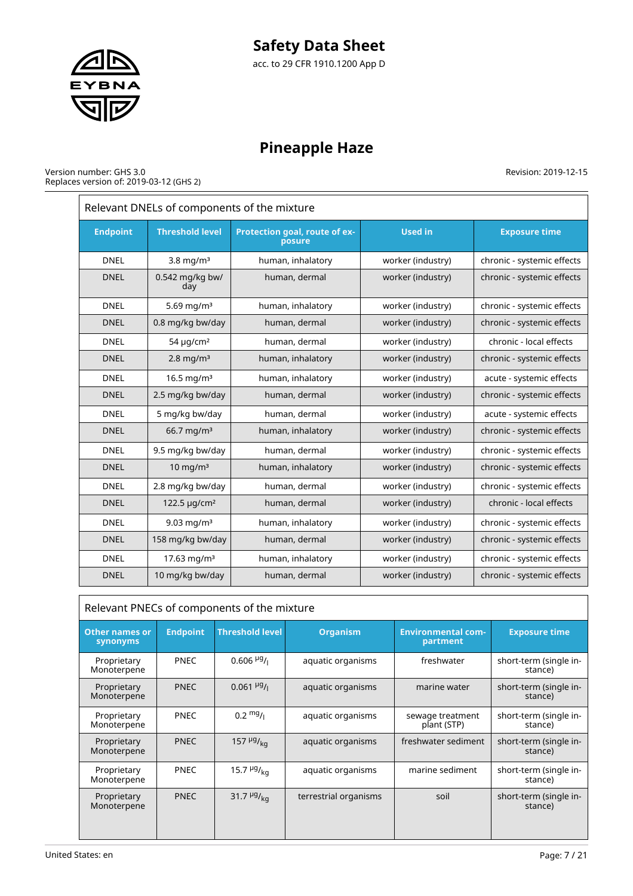# **Safety Data Sheet**

acc. to 29 CFR 1910.1200 App D



# **Pineapple Haze**

#### Version number: GHS 3.0 Replaces version of: 2019-03-12 (GHS 2)

| Relevant DNELs of components of the mixture |                                                                   |                   |                   |                            |  |  |  |
|---------------------------------------------|-------------------------------------------------------------------|-------------------|-------------------|----------------------------|--|--|--|
| <b>Endpoint</b>                             | <b>Threshold level</b><br>Protection goal, route of ex-<br>posure |                   | <b>Used in</b>    | <b>Exposure time</b>       |  |  |  |
| <b>DNEL</b>                                 | $3.8$ mg/m <sup>3</sup>                                           | human, inhalatory | worker (industry) | chronic - systemic effects |  |  |  |
| <b>DNEL</b>                                 | 0.542 mg/kg bw/<br>day                                            | human, dermal     | worker (industry) | chronic - systemic effects |  |  |  |
| <b>DNEL</b>                                 | 5.69 mg/m <sup>3</sup>                                            | human, inhalatory | worker (industry) | chronic - systemic effects |  |  |  |
| <b>DNEL</b>                                 | 0.8 mg/kg bw/day                                                  | human, dermal     | worker (industry) | chronic - systemic effects |  |  |  |
| <b>DNEL</b>                                 | 54 $\mu$ g/cm <sup>2</sup>                                        | human, dermal     | worker (industry) | chronic - local effects    |  |  |  |
| <b>DNEL</b>                                 | $2.8$ mg/m <sup>3</sup>                                           | human, inhalatory | worker (industry) | chronic - systemic effects |  |  |  |
| <b>DNEL</b>                                 | 16.5 mg/m <sup>3</sup>                                            | human, inhalatory | worker (industry) | acute - systemic effects   |  |  |  |
| <b>DNEL</b>                                 | 2.5 mg/kg bw/day                                                  | human, dermal     | worker (industry) | chronic - systemic effects |  |  |  |
| <b>DNEL</b>                                 | 5 mg/kg bw/day                                                    | human, dermal     | worker (industry) | acute - systemic effects   |  |  |  |
| <b>DNEL</b>                                 | $66.7 \,\mathrm{mg/m^3}$                                          | human, inhalatory | worker (industry) | chronic - systemic effects |  |  |  |
| <b>DNEL</b>                                 | 9.5 mg/kg bw/day                                                  | human, dermal     | worker (industry) | chronic - systemic effects |  |  |  |
| <b>DNEL</b>                                 | $10 \text{ mg/m}^3$                                               | human, inhalatory | worker (industry) | chronic - systemic effects |  |  |  |
| <b>DNEL</b>                                 | 2.8 mg/kg bw/day                                                  | human, dermal     | worker (industry) | chronic - systemic effects |  |  |  |
| <b>DNEL</b>                                 | 122.5 µg/cm <sup>2</sup>                                          | human, dermal     | worker (industry) | chronic - local effects    |  |  |  |
| <b>DNEL</b>                                 | 9.03 mg/m <sup>3</sup>                                            | human, inhalatory | worker (industry) | chronic - systemic effects |  |  |  |
| <b>DNEL</b>                                 | 158 mg/kg bw/day                                                  | human, dermal     | worker (industry) | chronic - systemic effects |  |  |  |
| <b>DNEL</b>                                 | 17.63 mg/m <sup>3</sup>                                           | human, inhalatory | worker (industry) | chronic - systemic effects |  |  |  |
| <b>DNEL</b>                                 | 10 mg/kg bw/day                                                   | human, dermal     | worker (industry) | chronic - systemic effects |  |  |  |

| Relevant PNECs of components of the mixture |                 |                                      |                       |                                       |                                   |  |  |  |
|---------------------------------------------|-----------------|--------------------------------------|-----------------------|---------------------------------------|-----------------------------------|--|--|--|
| <b>Other names or</b><br>synonyms           | <b>Endpoint</b> | <b>Threshold level</b>               | <b>Organism</b>       | <b>Environmental com-</b><br>partment | <b>Exposure time</b>              |  |  |  |
| Proprietary<br>Monoterpene                  | <b>PNEC</b>     | $0.606$ <sup>µg</sup> / <sub>l</sub> | aquatic organisms     | freshwater                            | short-term (single in-<br>stance) |  |  |  |
| Proprietary<br>Monoterpene                  | <b>PNEC</b>     | $0.061$ <sup>µg</sup> / <sub>1</sub> | aquatic organisms     | marine water                          | short-term (single in-<br>stance) |  |  |  |
| Proprietary<br>Monoterpene                  | <b>PNEC</b>     | $0.2 \frac{mg}{l}$                   | aquatic organisms     | sewage treatment<br>plant (STP)       | short-term (single in-<br>stance) |  |  |  |
| Proprietary<br>Monoterpene                  | <b>PNEC</b>     | 157 $\mu$ g/ <sub>ka</sub>           | aquatic organisms     | freshwater sediment                   | short-term (single in-<br>stance) |  |  |  |
| Proprietary<br>Monoterpene                  | <b>PNEC</b>     | 15.7 $\mu$ g/ <sub>kg</sub>          | aquatic organisms     | marine sediment                       | short-term (single in-<br>stance) |  |  |  |
| Proprietary<br>Monoterpene                  | <b>PNEC</b>     | 31.7 $\frac{\mu g}{\kappa q}$        | terrestrial organisms | soil                                  | short-term (single in-<br>stance) |  |  |  |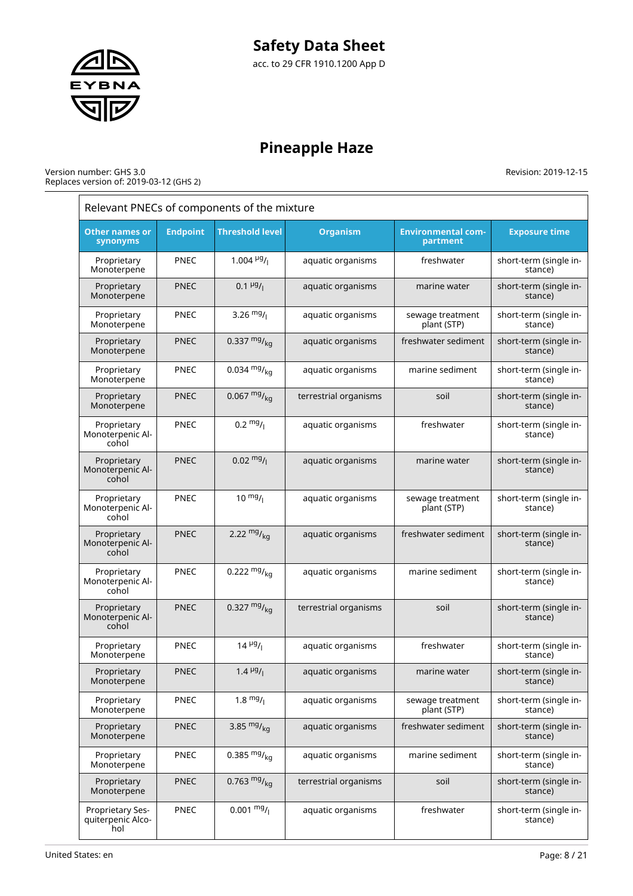

# **Pineapple Haze**

#### Version number: GHS 3.0 Replaces version of: 2019-03-12 (GHS 2)

Revision: 2019-12-15

 $=$ 

| Relevant PNECs of components of the mixture  |                 |                         |                       |                                       |                                   |  |  |  |
|----------------------------------------------|-----------------|-------------------------|-----------------------|---------------------------------------|-----------------------------------|--|--|--|
| <b>Other names or</b><br>synonyms            | <b>Endpoint</b> | <b>Threshold level</b>  | <b>Organism</b>       | <b>Environmental com-</b><br>partment | <b>Exposure time</b>              |  |  |  |
| Proprietary<br>Monoterpene                   | PNEC            | 1.004 $\frac{\mu g}{I}$ | aquatic organisms     | freshwater                            | short-term (single in-<br>stance) |  |  |  |
| Proprietary<br>Monoterpene                   | <b>PNEC</b>     | $0.1 \frac{\mu g}{I}$   | aquatic organisms     | marine water                          | short-term (single in-<br>stance) |  |  |  |
| Proprietary<br>Monoterpene                   | <b>PNEC</b>     | 3.26 $mg/1$             | aquatic organisms     | sewage treatment<br>plant (STP)       | short-term (single in-<br>stance) |  |  |  |
| Proprietary<br>Monoterpene                   | <b>PNEC</b>     | 0.337 $mg/kq$           | aquatic organisms     | freshwater sediment                   | short-term (single in-<br>stance) |  |  |  |
| Proprietary<br>Monoterpene                   | <b>PNEC</b>     | 0.034 $mg/kq$           | aquatic organisms     | marine sediment                       | short-term (single in-<br>stance) |  |  |  |
| Proprietary<br>Monoterpene                   | <b>PNEC</b>     | $0.067 \frac{mg}{kg}$   | terrestrial organisms | soil                                  | short-term (single in-<br>stance) |  |  |  |
| Proprietary<br>Monoterpenic Al-<br>cohol     | <b>PNEC</b>     | $0.2 \frac{mg}{l}$      | aquatic organisms     | freshwater                            | short-term (single in-<br>stance) |  |  |  |
| Proprietary<br>Monoterpenic Al-<br>cohol     | <b>PNEC</b>     | $0.02 \frac{mg}{l}$     | aquatic organisms     | marine water                          | short-term (single in-<br>stance) |  |  |  |
| Proprietary<br>Monoterpenic Al-<br>cohol     | PNEC            | $10 \frac{mg}{l}$       | aquatic organisms     | sewage treatment<br>plant (STP)       | short-term (single in-<br>stance) |  |  |  |
| Proprietary<br>Monoterpenic Al-<br>cohol     | <b>PNEC</b>     | 2.22 $mg/kq$            | aquatic organisms     | freshwater sediment                   | short-term (single in-<br>stance) |  |  |  |
| Proprietary<br>Monoterpenic Al-<br>cohol     | <b>PNEC</b>     | 0.222 $mg/kq$           | aquatic organisms     | marine sediment                       | short-term (single in-<br>stance) |  |  |  |
| Proprietary<br>Monoterpenic Al-<br>cohol     | <b>PNEC</b>     | 0.327 $mg/kq$           | terrestrial organisms | soil                                  | short-term (single in-<br>stance) |  |  |  |
| Proprietary<br>Monoterpene                   | <b>PNEC</b>     | $14 \frac{\mu g}{I}$    | aquatic organisms     | freshwater                            | short-term (single in-<br>stance) |  |  |  |
| Proprietary<br>Monoterpene                   | <b>PNEC</b>     | $1.4 \frac{\mu g}{I}$   | aquatic organisms     | marine water                          | short-term (single in-<br>stance) |  |  |  |
| Proprietary<br>Monoterpene                   | PNEC            | $1.8 \frac{mg}{l}$      | aquatic organisms     | sewage treatment<br>plant (STP)       | short-term (single in-<br>stance) |  |  |  |
| Proprietary<br>Monoterpene                   | <b>PNEC</b>     | 3.85 $mg/kq$            | aquatic organisms     | freshwater sediment                   | short-term (single in-<br>stance) |  |  |  |
| Proprietary<br>Monoterpene                   | PNEC            | 0.385 $mg/_{ka}$        | aquatic organisms     | marine sediment                       | short-term (single in-<br>stance) |  |  |  |
| Proprietary<br>Monoterpene                   | <b>PNEC</b>     | 0.763 $mg/kq$           | terrestrial organisms | soil                                  | short-term (single in-<br>stance) |  |  |  |
| Proprietary Ses-<br>quiterpenic Alco-<br>hol | PNEC            | $0.001 \frac{mg}{l}$    | aquatic organisms     | freshwater                            | short-term (single in-<br>stance) |  |  |  |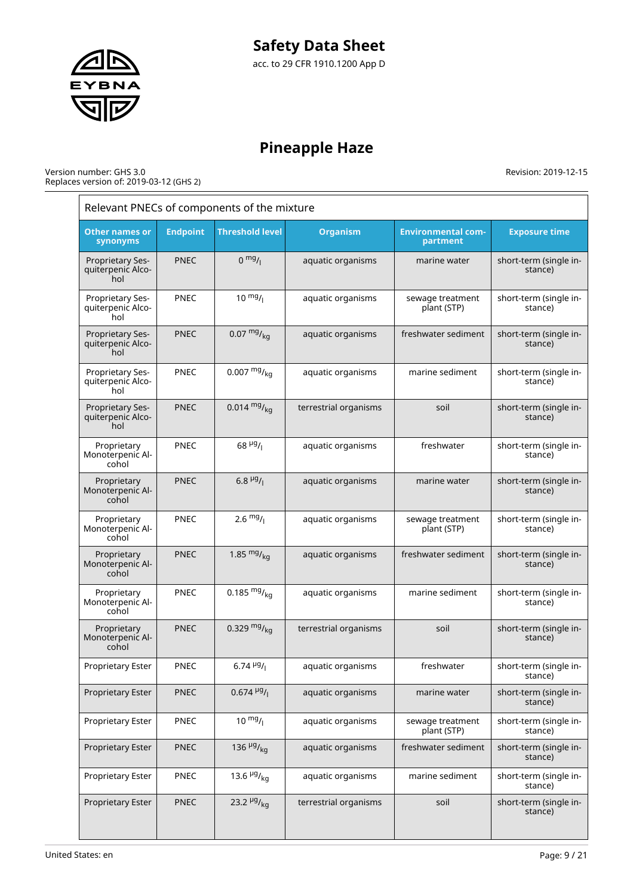

# **Pineapple Haze**

#### Version number: GHS 3.0 Replaces version of: 2019-03-12 (GHS 2)

| Relevant PNECs of components of the mixture         |                 |                              |                       |                                       |                                   |  |  |  |
|-----------------------------------------------------|-----------------|------------------------------|-----------------------|---------------------------------------|-----------------------------------|--|--|--|
| Other names or<br>synonyms                          | <b>Endpoint</b> | <b>Threshold level</b>       | <b>Organism</b>       | <b>Environmental com-</b><br>partment | <b>Exposure time</b>              |  |  |  |
| <b>Proprietary Ses-</b><br>quiterpenic Alco-<br>hol | <b>PNEC</b>     | 0 <sup>mg</sup> /1           | aquatic organisms     | marine water                          | short-term (single in-<br>stance) |  |  |  |
| Proprietary Ses-<br>quiterpenic Alco-<br>hol        | <b>PNEC</b>     | $10^{mg}$ /                  | aquatic organisms     | sewage treatment<br>plant (STP)       | short-term (single in-<br>stance) |  |  |  |
| Proprietary Ses-<br>quiterpenic Alco-<br>hol        | <b>PNEC</b>     | $0.07 \frac{mg}{kg}$         | aquatic organisms     | freshwater sediment                   | short-term (single in-<br>stance) |  |  |  |
| Proprietary Ses-<br>quiterpenic Alco-<br>hol        | <b>PNEC</b>     | $0.007 \frac{mg}{ka}$        | aquatic organisms     | marine sediment                       | short-term (single in-<br>stance) |  |  |  |
| Proprietary Ses-<br>quiterpenic Alco-<br>hol        | <b>PNEC</b>     | $0.014 \frac{mg}{kg}$        | terrestrial organisms | soil                                  | short-term (single in-<br>stance) |  |  |  |
| Proprietary<br>Monoterpenic Al-<br>cohol            | <b>PNEC</b>     | $68 \frac{\mu g}{I}$         | aquatic organisms     | freshwater                            | short-term (single in-<br>stance) |  |  |  |
| Proprietary<br>Monoterpenic Al-<br>cohol            | <b>PNEC</b>     | 6.8 $\mu$ g/                 | aquatic organisms     | marine water                          | short-term (single in-<br>stance) |  |  |  |
| Proprietary<br>Monoterpenic Al-<br>cohol            | <b>PNEC</b>     | $2.6 \frac{mg}{l}$           | aquatic organisms     | sewage treatment<br>plant (STP)       | short-term (single in-<br>stance) |  |  |  |
| Proprietary<br>Monoterpenic Al-<br>cohol            | <b>PNEC</b>     | 1.85 $mgr_{ka}$              | aquatic organisms     | freshwater sediment                   | short-term (single in-<br>stance) |  |  |  |
| Proprietary<br>Monoterpenic Al-<br>cohol            | <b>PNEC</b>     | 0.185 $mg/kq$                | aquatic organisms     | marine sediment                       | short-term (single in-<br>stance) |  |  |  |
| Proprietary<br>Monoterpenic Al-<br>cohol            | <b>PNEC</b>     | 0.329 $mg/kq$                | terrestrial organisms | soil                                  | short-term (single in-<br>stance) |  |  |  |
| Proprietary Ester                                   | <b>PNEC</b>     | $6.74\,^{19}$ /              | aquatic organisms     | freshwater                            | short-term (single in-<br>stance) |  |  |  |
| Proprietary Ester                                   | <b>PNEC</b>     | $0.674 \frac{\mu g}{I}$      | aquatic organisms     | marine water                          | short-term (single in-<br>stance) |  |  |  |
| Proprietary Ester                                   | PNEC            | $10^{mg}$ /                  | aquatic organisms     | sewage treatment<br>plant (STP)       | short-term (single in-<br>stance) |  |  |  |
| <b>Proprietary Ester</b>                            | <b>PNEC</b>     | 136 $\frac{\mu g}{\kappa q}$ | aquatic organisms     | freshwater sediment                   | short-term (single in-<br>stance) |  |  |  |
| Proprietary Ester                                   | PNEC            | 13.6 $\mu$ g/ <sub>kg</sub>  | aquatic organisms     | marine sediment                       | short-term (single in-<br>stance) |  |  |  |
| Proprietary Ester                                   | <b>PNEC</b>     | 23.2 $\mu$ g/ <sub>kg</sub>  | terrestrial organisms | soil                                  | short-term (single in-<br>stance) |  |  |  |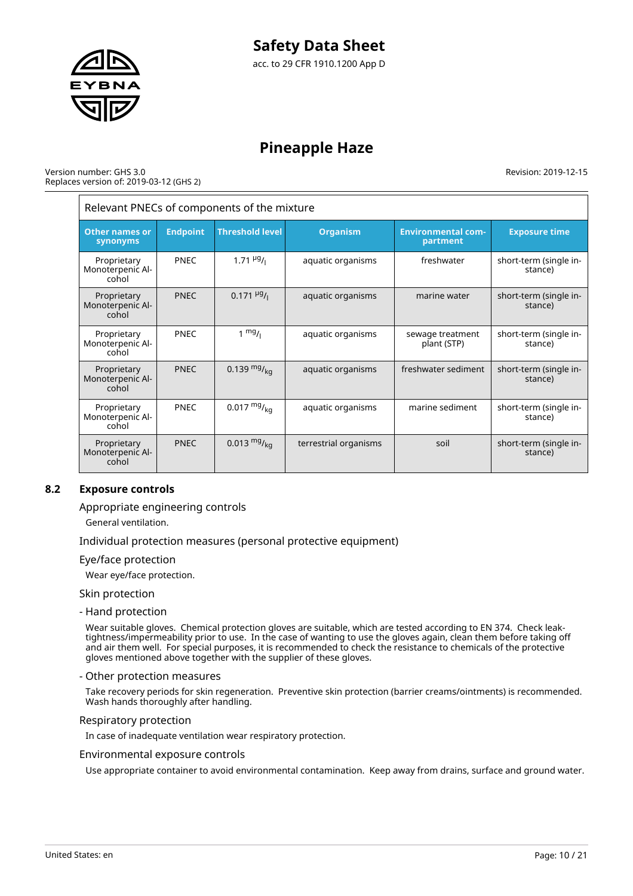

#### Version number: GHS 3.0 Replaces version of: 2019-03-12 (GHS 2)

Revision: 2019-12-15

| Relevant PNECs of components of the mixture |                 |                           |                       |                                       |                                   |
|---------------------------------------------|-----------------|---------------------------|-----------------------|---------------------------------------|-----------------------------------|
| <b>Other names or</b><br>synonyms           | <b>Endpoint</b> | <b>Threshold level</b>    | <b>Organism</b>       | <b>Environmental com-</b><br>partment | <b>Exposure time</b>              |
| Proprietary<br>Monoterpenic Al-<br>cohol    | PNEC            | $1.71 \frac{\mu g}{\mu}$  | aquatic organisms     | freshwater                            | short-term (single in-<br>stance) |
| Proprietary<br>Monoterpenic Al-<br>cohol    | <b>PNEC</b>     | $0.171 \frac{\mu g}{\mu}$ | aquatic organisms     | marine water                          | short-term (single in-<br>stance) |
| Proprietary<br>Monoterpenic Al-<br>cohol    | PNEC            | $1 \frac{mg}{l}$          | aquatic organisms     | sewage treatment<br>plant (STP)       | short-term (single in-<br>stance) |
| Proprietary<br>Monoterpenic Al-<br>cohol    | <b>PNEC</b>     | 0.139 $mg/_{kq}$          | aquatic organisms     | freshwater sediment                   | short-term (single in-<br>stance) |
| Proprietary<br>Monoterpenic Al-<br>cohol    | PNEC            | $0.017 \frac{mg}{ka}$     | aquatic organisms     | marine sediment                       | short-term (single in-<br>stance) |
| Proprietary<br>Monoterpenic Al-<br>cohol    | <b>PNEC</b>     | 0.013 $mg/_{ka}$          | terrestrial organisms | soil                                  | short-term (single in-<br>stance) |

# **8.2 Exposure controls**

Appropriate engineering controls

General ventilation.

Individual protection measures (personal protective equipment)

#### Eye/face protection

Wear eye/face protection.

Skin protection

- Hand protection

Wear suitable gloves. Chemical protection gloves are suitable, which are tested according to EN 374. Check leaktightness/impermeability prior to use. In the case of wanting to use the gloves again, clean them before taking off and air them well. For special purposes, it is recommended to check the resistance to chemicals of the protective gloves mentioned above together with the supplier of these gloves.

#### - Other protection measures

Take recovery periods for skin regeneration. Preventive skin protection (barrier creams/ointments) is recommended. Wash hands thoroughly after handling.

#### Respiratory protection

In case of inadequate ventilation wear respiratory protection.

#### Environmental exposure controls

Use appropriate container to avoid environmental contamination. Keep away from drains, surface and ground water.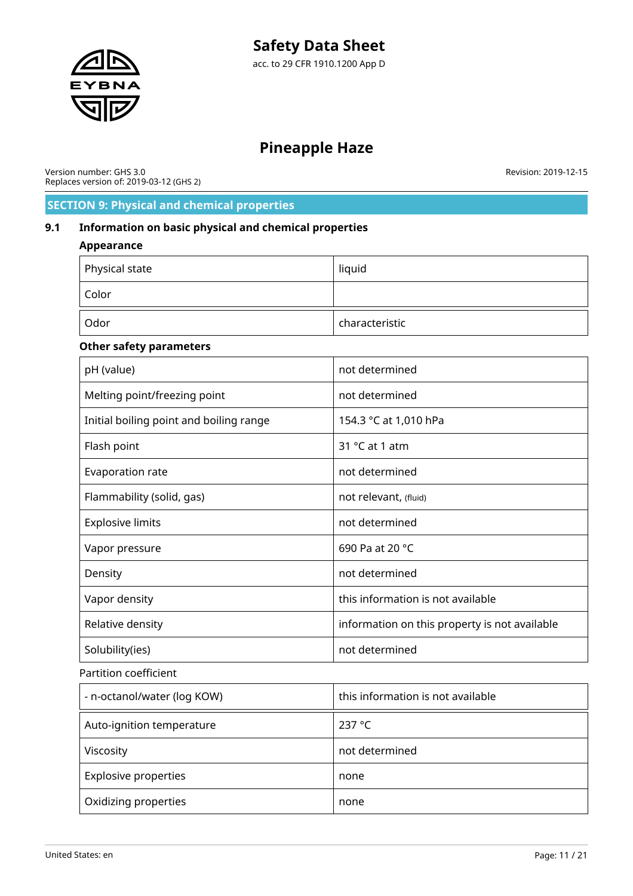

Version number: GHS 3.0 Replaces version of: 2019-03-12 (GHS 2) Revision: 2019-12-15

# **SECTION 9: Physical and chemical properties**

# **9.1 Information on basic physical and chemical properties**

### **Appearance**

| Physical state | liquid         |
|----------------|----------------|
| Color          |                |
| Odor           | characteristic |

# **Other safety parameters**

| pH (value)                              | not determined                                |  |
|-----------------------------------------|-----------------------------------------------|--|
| Melting point/freezing point            | not determined                                |  |
| Initial boiling point and boiling range | 154.3 °C at 1,010 hPa                         |  |
| Flash point                             | 31 $°C$ at 1 atm                              |  |
| Evaporation rate                        | not determined                                |  |
| Flammability (solid, gas)               | not relevant, (fluid)                         |  |
| <b>Explosive limits</b>                 | not determined                                |  |
| Vapor pressure                          | 690 Pa at 20 °C                               |  |
| Density                                 | not determined                                |  |
| Vapor density                           | this information is not available             |  |
| Relative density                        | information on this property is not available |  |
| Solubility(ies)                         | not determined                                |  |

### Partition coefficient

| - n-octanol/water (log KOW) | this information is not available |
|-----------------------------|-----------------------------------|
| Auto-ignition temperature   | 237 °C                            |
| Viscosity                   | not determined                    |
| <b>Explosive properties</b> | none                              |
| Oxidizing properties        | none                              |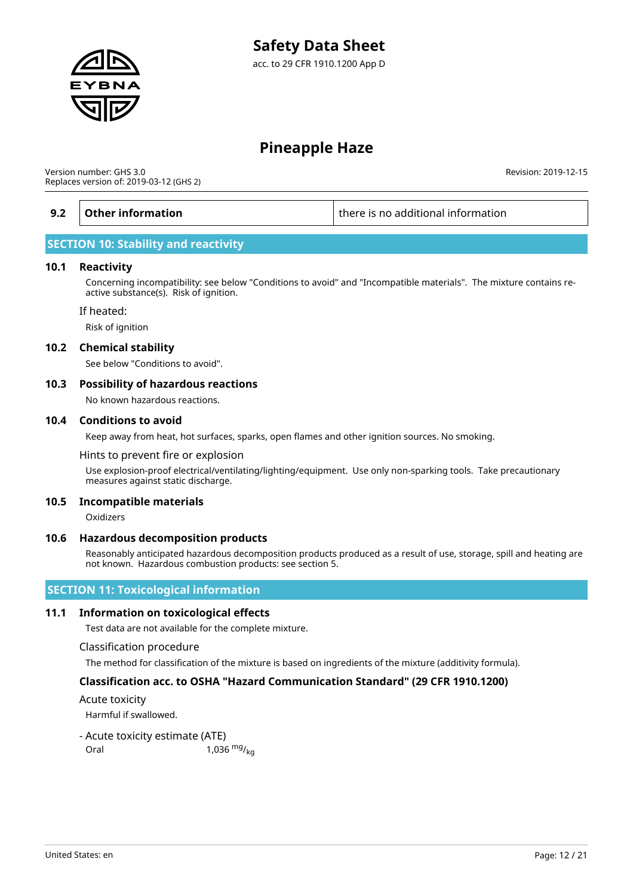

Version number: GHS 3.0 Replaces version of: 2019-03-12 (GHS 2)

**9.2 Other information there is no additional information** 

Revision: 2019-12-15

# **SECTION 10: Stability and reactivity**

#### **10.1 Reactivity**

Concerning incompatibility: see below "Conditions to avoid" and "Incompatible materials". The mixture contains reactive substance(s). Risk of ignition.

#### If heated:

Risk of ignition

#### **10.2 Chemical stability**

See below "Conditions to avoid".

#### **10.3 Possibility of hazardous reactions**

No known hazardous reactions.

#### **10.4 Conditions to avoid**

Keep away from heat, hot surfaces, sparks, open flames and other ignition sources. No smoking.

Hints to prevent fire or explosion

Use explosion-proof electrical/ventilating/lighting/equipment. Use only non-sparking tools. Take precautionary measures against static discharge.

#### **10.5 Incompatible materials**

Oxidizers

#### **10.6 Hazardous decomposition products**

Reasonably anticipated hazardous decomposition products produced as a result of use, storage, spill and heating are not known. Hazardous combustion products: see section 5.

# **SECTION 11: Toxicological information**

#### **11.1 Information on toxicological effects**

Test data are not available for the complete mixture.

#### Classification procedure

The method for classification of the mixture is based on ingredients of the mixture (additivity formula).

### **Classification acc. to OSHA "Hazard Communication Standard" (29 CFR 1910.1200)**

Acute toxicity

Harmful if swallowed.

- Acute toxicity estimate (ATE)

Oral  $1,036 \frac{mg}{kq}$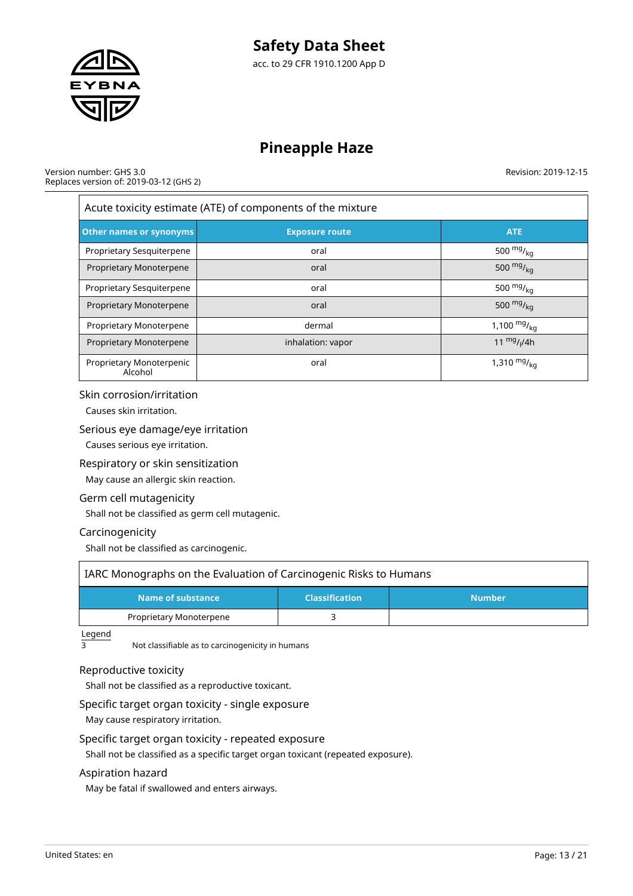

Version number: GHS 3.0 Replaces version of: 2019-03-12 (GHS 2) Revision: 2019-12-15

| Acute toxicity estimate (ATE) of components of the mixture            |                   |                  |  |  |
|-----------------------------------------------------------------------|-------------------|------------------|--|--|
| <b>Other names or synonyms</b><br><b>ATE</b><br><b>Exposure route</b> |                   |                  |  |  |
| Proprietary Sesquiterpene                                             | oral              | 500 $mg/_{kq}$   |  |  |
| Proprietary Monoterpene                                               | oral              | 500 $mg/_{ka}$   |  |  |
| Proprietary Sesquiterpene                                             | oral              | 500 $mg/_{kq}$   |  |  |
| Proprietary Monoterpene                                               | oral              | 500 $mg/_{ka}$   |  |  |
| Proprietary Monoterpene                                               | dermal            | 1,100 $mg/_{kq}$ |  |  |
| Proprietary Monoterpene                                               | inhalation: vapor | 11 $mg/14h$      |  |  |
| Proprietary Monoterpenic<br>Alcohol                                   | oral              | 1,310 $mg/_{kq}$ |  |  |

#### Skin corrosion/irritation

Causes skin irritation.

#### Serious eye damage/eye irritation

Causes serious eye irritation.

### Respiratory or skin sensitization

May cause an allergic skin reaction.

### Germ cell mutagenicity

Shall not be classified as germ cell mutagenic.

### Carcinogenicity

Shall not be classified as carcinogenic.

| IARC Monographs on the Evaluation of Carcinogenic Risks to Humans |  |  |  |  |  |
|-------------------------------------------------------------------|--|--|--|--|--|
| Name of substance<br><b>Classification</b><br><b>Number</b>       |  |  |  |  |  |
| Proprietary Monoterpene                                           |  |  |  |  |  |

 $\frac{\text{Legend}}{3}$ 

Not classifiable as to carcinogenicity in humans

# Reproductive toxicity

Shall not be classified as a reproductive toxicant.

# Specific target organ toxicity - single exposure

May cause respiratory irritation.

# Specific target organ toxicity - repeated exposure

Shall not be classified as a specific target organ toxicant (repeated exposure).

### Aspiration hazard

May be fatal if swallowed and enters airways.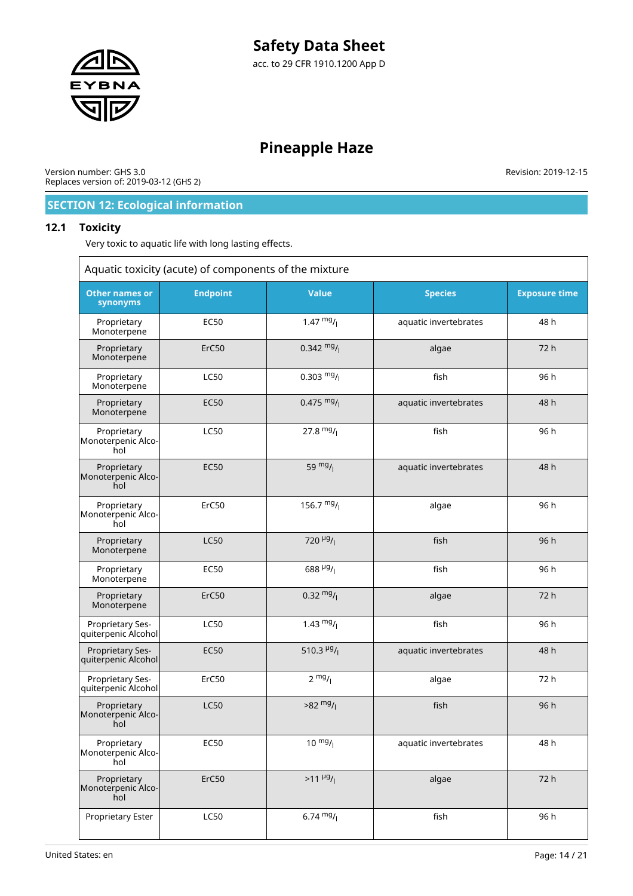

Version number: GHS 3.0 Replaces version of: 2019-03-12 (GHS 2) Revision: 2019-12-15

# **SECTION 12: Ecological information**

### **12.1 Toxicity**

Very toxic to aquatic life with long lasting effects.

| Aquatic toxicity (acute) of components of the mixture |                   |                           |                       |                      |  |
|-------------------------------------------------------|-------------------|---------------------------|-----------------------|----------------------|--|
| <b>Other names or</b><br>synonyms                     | <b>Endpoint</b>   | <b>Value</b>              | <b>Species</b>        | <b>Exposure time</b> |  |
| Proprietary<br>Monoterpene                            | <b>EC50</b>       | $1.47 \frac{mg}{l}$       | aquatic invertebrates | 48 h                 |  |
| Proprietary<br>Monoterpene                            | ErC <sub>50</sub> | $0.342 \frac{mg}{l}$      | algae                 | 72 h                 |  |
| Proprietary<br>Monoterpene                            | <b>LC50</b>       | $0.303 \frac{mg}{l}$      | fish                  | 96 h                 |  |
| Proprietary<br>Monoterpene                            | <b>EC50</b>       | $0.475 \frac{mg}{l}$      | aquatic invertebrates | 48 h                 |  |
| Proprietary<br>Monoterpenic Alco-<br>hol              | <b>LC50</b>       | 27.8 $mg/1$               | fish                  | 96 h                 |  |
| Proprietary<br>Monoterpenic Alco-<br>hol              | <b>EC50</b>       | 59 $mg/1$                 | aquatic invertebrates | 48 h                 |  |
| Proprietary<br>Monoterpenic Alco-<br>hol              | ErC50             | 156.7 $mg/$               | algae                 | 96 h                 |  |
| Proprietary<br>Monoterpene                            | <b>LC50</b>       | $720 \frac{\mu g}{I}$     | fish                  | 96 h                 |  |
| Proprietary<br>Monoterpene                            | <b>EC50</b>       | 688 $\mu$ g/              | fish                  | 96 h                 |  |
| Proprietary<br>Monoterpene                            | ErC <sub>50</sub> | $0.32 \frac{mg}{l}$       | algae                 | 72 h                 |  |
| Proprietary Ses-<br>quiterpenic Alcohol               | <b>LC50</b>       | 1.43 $mg/$                | fish                  | 96 h                 |  |
| Proprietary Ses-<br>quiterpenic Alcohol               | <b>EC50</b>       | 510.3 $\frac{\mu g}{\mu}$ | aquatic invertebrates | 48 h                 |  |
| Proprietary Ses-<br>quiterpenic Alcohol               | ErC50             | $2 \frac{mg}{l}$          | algae                 | 72 h                 |  |
| Proprietary<br>Monoterpenic Alco-<br>hol              | <b>LC50</b>       | $>82 \frac{mg}{l}$        | fish                  | 96 h                 |  |
| Proprietary<br>Monoterpenic Alco-<br>hol              | <b>EC50</b>       | $10 \frac{mg}{l}$         | aquatic invertebrates | 48 h                 |  |
| Proprietary<br>Monoterpenic Alco-<br>hol              | ErC50             | $>11 \frac{\mu g}{l}$     | algae                 | 72 h                 |  |
| Proprietary Ester                                     | <b>LC50</b>       | $6.74 \frac{mg}{l}$       | fish                  | 96 h                 |  |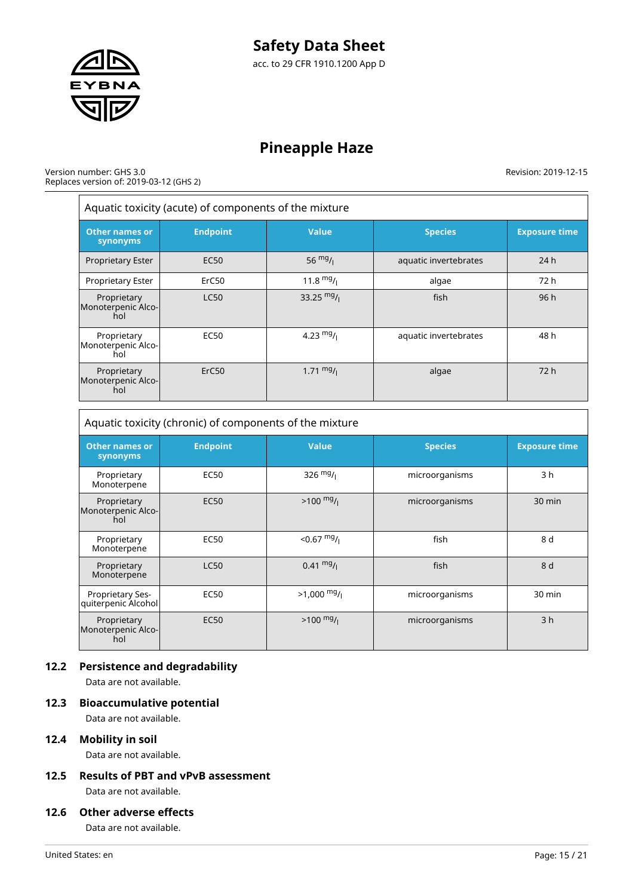

#### Version number: GHS 3.0 Replaces version of: 2019-03-12 (GHS 2)

Revision: 2019-12-15

| Aquatic toxicity (acute) of components of the mixture |                   |                     |                       |                      |  |
|-------------------------------------------------------|-------------------|---------------------|-----------------------|----------------------|--|
| <b>Other names or</b><br>synonyms                     | <b>Endpoint</b>   | <b>Value</b>        | <b>Species</b>        | <b>Exposure time</b> |  |
| <b>Proprietary Ester</b>                              | <b>EC50</b>       | 56 $mg/1$           | aquatic invertebrates | 24h                  |  |
| Proprietary Ester                                     | ErC <sub>50</sub> | $11.8 \text{ mg}/1$ | algae                 | 72 h                 |  |
| Proprietary<br>Monoterpenic Alco-<br>hol              | <b>LC50</b>       | 33.25 $mg/1$        | fish                  | 96h                  |  |
| Proprietary<br>Monoterpenic Alco-<br>hol              | EC <sub>50</sub>  | 4.23 $mg/1$         | aquatic invertebrates | 48 h                 |  |
| Proprietary<br>Monoterpenic Alco-<br>hol              | ErC <sub>50</sub> | $1.71 \text{ mg}$ / | algae                 | 72 h                 |  |

Aquatic toxicity (chronic) of components of the mixture **Other names or synonyms Endpoint Value Species Exposure time** Proprietary Monoterpene EC50  $326 \frac{mg}{l}$  microorganisms 3 h Proprietary Monoterpenic Alcohol EC50  $\vert$  >100 mg/<sub>l</sub>  $\vert$  microorganisms  $\vert$  30 min Proprietary Monoterpene EC50  $<$  0.67  $mg/$ fish | 8 d Proprietary **Monoterpene** LC50  $0.41 \frac{mg}{l}$ fish 8 d Proprietary Sesquiterpenic Alcohol EC50  $>1,000 \frac{mg}{l}$  microorganisms 30 min EC50  $\vert$  >100 mg/<sub>l</sub>  $\vert$  microorganisms  $\vert$  3 h

# **12.2 Persistence and degradability**

Data are not available.

Proprietary Monoterpenic Alcohol

### **12.3 Bioaccumulative potential**

Data are not available.

# **12.4 Mobility in soil**

Data are not available.

**12.5 Results of PBT and vPvB assessment** Data are not available.

# **12.6 Other adverse effects**

Data are not available.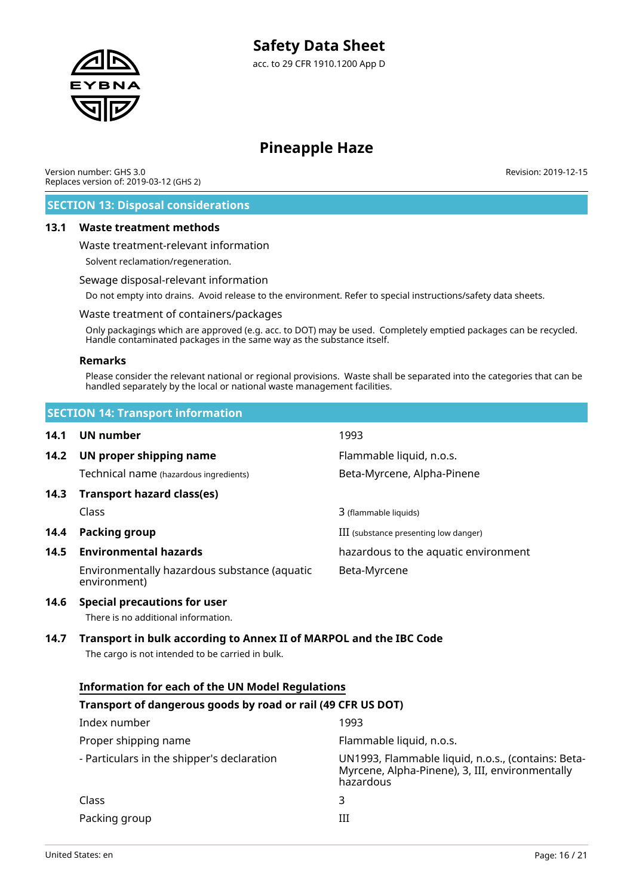

# **Pineapple Haze**

Version number: GHS 3.0 Replaces version of: 2019-03-12 (GHS 2) Revision: 2019-12-15

# **SECTION 13: Disposal considerations**

### **13.1 Waste treatment methods**

Waste treatment-relevant information

Solvent reclamation/regeneration.

#### Sewage disposal-relevant information

Do not empty into drains. Avoid release to the environment. Refer to special instructions/safety data sheets.

#### Waste treatment of containers/packages

Only packagings which are approved (e.g. acc. to DOT) may be used. Completely emptied packages can be recycled. Handle contaminated packages in the same way as the substance itself.

#### **Remarks**

Please consider the relevant national or regional provisions. Waste shall be separated into the categories that can be handled separately by the local or national waste management facilities.

|      | <b>SECTION 14: Transport information</b>                                   |                                       |  |  |  |
|------|----------------------------------------------------------------------------|---------------------------------------|--|--|--|
| 14.1 | UN number                                                                  | 1993                                  |  |  |  |
| 14.2 | UN proper shipping name                                                    | Flammable liquid, n.o.s.              |  |  |  |
|      | Technical name (hazardous ingredients)                                     | Beta-Myrcene, Alpha-Pinene            |  |  |  |
| 14.3 | <b>Transport hazard class(es)</b>                                          |                                       |  |  |  |
|      | Class                                                                      | 3 (flammable liquids)                 |  |  |  |
| 14.4 | Packing group                                                              | III (substance presenting low danger) |  |  |  |
| 14.5 | <b>Environmental hazards</b>                                               | hazardous to the aquatic environment  |  |  |  |
|      | Environmentally hazardous substance (aquatic<br>environment)               | Beta-Myrcene                          |  |  |  |
| 14.6 | <b>Special precautions for user</b><br>There is no additional information. |                                       |  |  |  |

# **14.7 Transport in bulk according to Annex II of MARPOL and the IBC Code**

The cargo is not intended to be carried in bulk.

# **Information for each of the UN Model Regulations**

# **Transport of dangerous goods by road or rail (49 CFR US DOT)** Index number 1993

| Proper shipping name                       | Flammable liquid, n.o.s.                                                                                           |
|--------------------------------------------|--------------------------------------------------------------------------------------------------------------------|
| - Particulars in the shipper's declaration | UN1993, Flammable liquid, n.o.s., (contains: Beta-<br>Myrcene, Alpha-Pinene), 3, III, environmentally<br>hazardous |
| Class                                      | ર                                                                                                                  |
| Packing group                              | Ш                                                                                                                  |
|                                            |                                                                                                                    |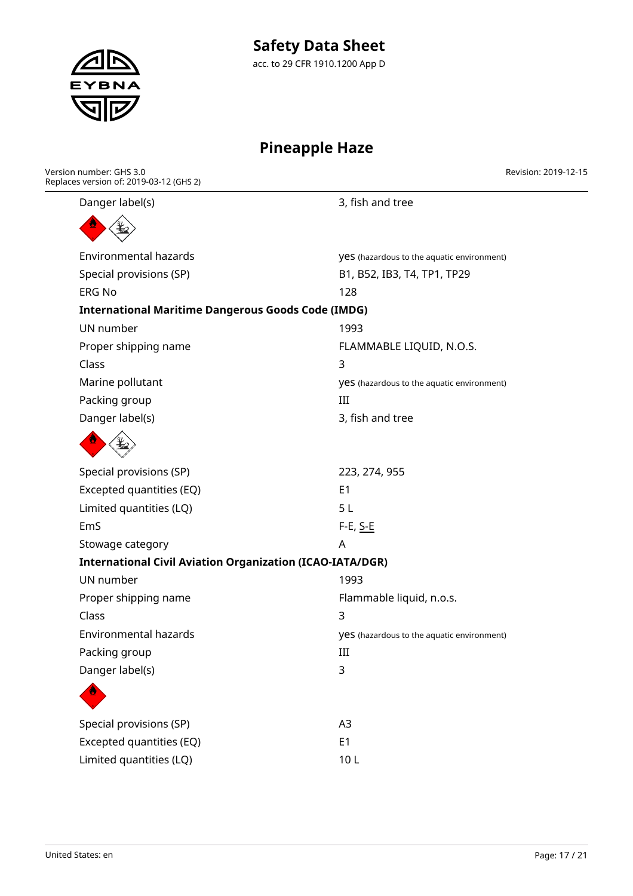# **Safety Data Sheet**

acc. to 29 CFR 1910.1200 App D

# **Pineapple Haze**

| Danger label(s)                                                  | 3, fish and tree                                  |
|------------------------------------------------------------------|---------------------------------------------------|
|                                                                  |                                                   |
|                                                                  |                                                   |
| <b>Environmental hazards</b>                                     | <b>yes</b> (hazardous to the aquatic environment) |
| Special provisions (SP)                                          | B1, B52, IB3, T4, TP1, TP29                       |
| <b>ERG No</b>                                                    | 128                                               |
| <b>International Maritime Dangerous Goods Code (IMDG)</b>        |                                                   |
| UN number                                                        | 1993                                              |
| Proper shipping name                                             | FLAMMABLE LIQUID, N.O.S.                          |
| Class                                                            | 3                                                 |
| Marine pollutant                                                 | yes (hazardous to the aquatic environment)        |
| Packing group                                                    | III                                               |
| Danger label(s)                                                  | 3, fish and tree                                  |
|                                                                  |                                                   |
| Special provisions (SP)                                          | 223, 274, 955                                     |
| Excepted quantities (EQ)                                         | E <sub>1</sub>                                    |
| Limited quantities (LQ)                                          | 5L                                                |
| EmS                                                              | F-E, <u>S-E</u>                                   |
| Stowage category                                                 | A                                                 |
| <b>International Civil Aviation Organization (ICAO-IATA/DGR)</b> |                                                   |
| UN number                                                        | 1993                                              |
| Proper shipping name                                             | Flammable liquid, n.o.s.                          |
| Class                                                            | 3                                                 |
| <b>Environmental hazards</b>                                     | yes (hazardous to the aquatic environment)        |
| Packing group                                                    | Ш                                                 |
| Danger label(s)                                                  | 3                                                 |
|                                                                  |                                                   |
| Special provisions (SP)                                          | A <sub>3</sub>                                    |
| Excepted quantities (EQ)                                         | E <sub>1</sub>                                    |
| Limited quantities (LQ)                                          | 10L                                               |
|                                                                  |                                                   |



Version number: GHS 3.0

Replaces version of: 2019-03-12 (GHS 2)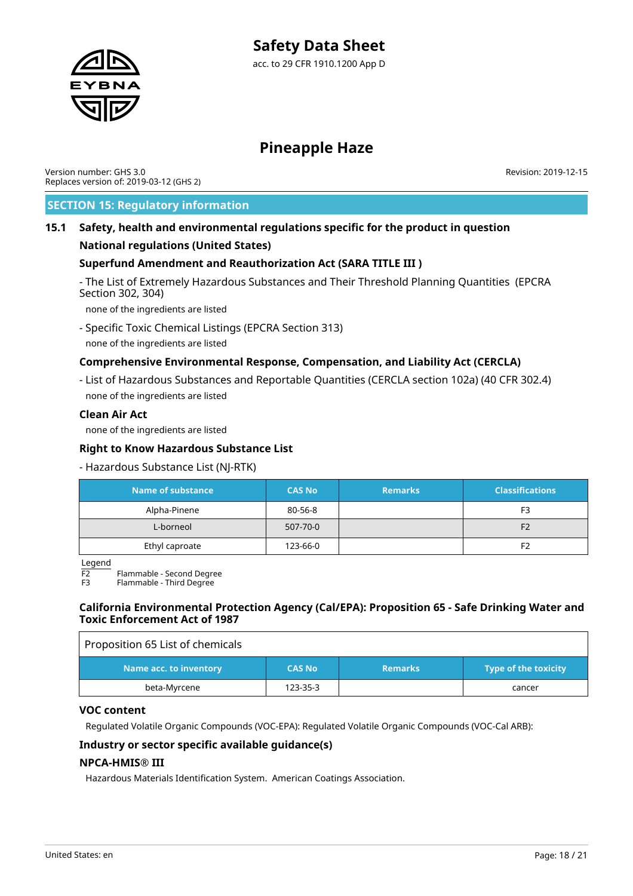

Version number: GHS 3.0 Replaces version of: 2019-03-12 (GHS 2) Revision: 2019-12-15

# **SECTION 15: Regulatory information**

# **15.1 Safety, health and environmental regulations specific for the product in question**

# **National regulations (United States)**

# **Superfund Amendment and Reauthorization Act (SARA TITLE III )**

- The List of Extremely Hazardous Substances and Their Threshold Planning Quantities (EPCRA Section 302, 304)

none of the ingredients are listed

- Specific Toxic Chemical Listings (EPCRA Section 313) none of the ingredients are listed

# **Comprehensive Environmental Response, Compensation, and Liability Act (CERCLA)**

- List of Hazardous Substances and Reportable Quantities (CERCLA section 102a) (40 CFR 302.4) none of the ingredients are listed

## **Clean Air Act**

none of the ingredients are listed

## **Right to Know Hazardous Substance List**

### - Hazardous Substance List (NJ-RTK)

| <b>Name of substance</b> | <b>CAS No</b> | <b>Remarks</b> | <b>Classifications</b> |
|--------------------------|---------------|----------------|------------------------|
| Alpha-Pinene             | 80-56-8       |                | F3                     |
| L-borneol                | 507-70-0      |                | F <sub>2</sub>         |
| Ethyl caproate           | 123-66-0      |                | F2                     |

Legend

F2 Flammable - Second Degree

Flammable - Third Degree

### **California Environmental Protection Agency (Cal/EPA): Proposition 65 - Safe Drinking Water and Toxic Enforcement Act of 1987**

| Proposition 65 List of chemicals |               |                |                             |
|----------------------------------|---------------|----------------|-----------------------------|
| Name acc. to inventory           | <b>CAS No</b> | <b>Remarks</b> | <b>Type of the toxicity</b> |
| beta-Myrcene                     | 123-35-3      |                | cancer                      |

### **VOC content**

Regulated Volatile Organic Compounds (VOC-EPA): Regulated Volatile Organic Compounds (VOC-Cal ARB):

### **Industry or sector specific available guidance(s)**

### **NPCA-HMIS® III**

Hazardous Materials Identification System. American Coatings Association.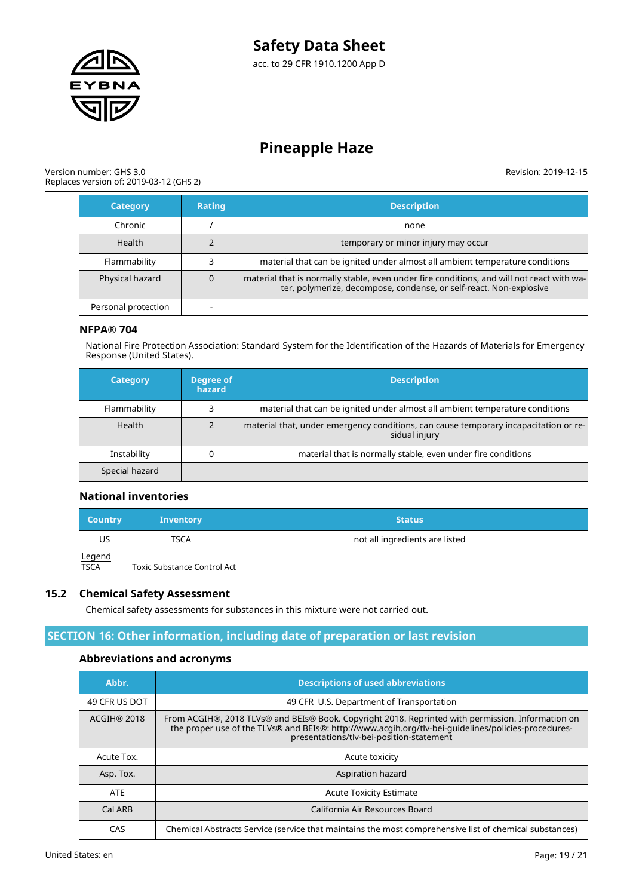

#### Version number: GHS 3.0 Replaces version of: 2019-03-12 (GHS 2)

Revision: 2019-12-15

| <b>Category</b>     | <b>Rating</b> | <b>Description</b>                                                                                                                                              |
|---------------------|---------------|-----------------------------------------------------------------------------------------------------------------------------------------------------------------|
| Chronic             |               | none                                                                                                                                                            |
| <b>Health</b>       |               | temporary or minor injury may occur                                                                                                                             |
| Flammability        |               | material that can be ignited under almost all ambient temperature conditions                                                                                    |
| Physical hazard     | 0             | material that is normally stable, even under fire conditions, and will not react with wa-<br>ter, polymerize, decompose, condense, or self-react. Non-explosive |
| Personal protection |               |                                                                                                                                                                 |

# **NFPA® 704**

National Fire Protection Association: Standard System for the Identification of the Hazards of Materials for Emergency Response (United States).

| <b>Category</b> | Degree of<br>hazard | <b>Description</b>                                                                                    |
|-----------------|---------------------|-------------------------------------------------------------------------------------------------------|
| Flammability    |                     | material that can be ignited under almost all ambient temperature conditions                          |
| Health          |                     | material that, under emergency conditions, can cause temporary incapacitation or re-<br>sidual injury |
| Instability     |                     | material that is normally stable, even under fire conditions                                          |
| Special hazard  |                     |                                                                                                       |

# **National inventories**

| <b>Country</b> | <b>Inventory</b> | Status                         |
|----------------|------------------|--------------------------------|
| US             | TSCA             | not all ingredients are listed |
| المصمصا        |                  |                                |

Legend<br>TSCA

Toxic Substance Control Act

### **15.2 Chemical Safety Assessment**

Chemical safety assessments for substances in this mixture were not carried out.

# **SECTION 16: Other information, including date of preparation or last revision**

# **Abbreviations and acronyms**

| Abbr.              | <b>Descriptions of used abbreviations</b>                                                                                                                                                                                                            |
|--------------------|------------------------------------------------------------------------------------------------------------------------------------------------------------------------------------------------------------------------------------------------------|
| 49 CFR US DOT      | 49 CFR U.S. Department of Transportation                                                                                                                                                                                                             |
| <b>ACGIH® 2018</b> | From ACGIH®, 2018 TLVs® and BEIs® Book. Copyright 2018. Reprinted with permission. Information on<br>the proper use of the TLVs® and BEIs®: http://www.acqih.org/tlv-bei-guidelines/policies-procedures-<br>presentations/tlv-bei-position-statement |
| Acute Tox.         | Acute toxicity                                                                                                                                                                                                                                       |
| Asp. Tox.          | Aspiration hazard                                                                                                                                                                                                                                    |
| <b>ATE</b>         | <b>Acute Toxicity Estimate</b>                                                                                                                                                                                                                       |
| Cal ARB            | California Air Resources Board                                                                                                                                                                                                                       |
| CAS                | Chemical Abstracts Service (service that maintains the most comprehensive list of chemical substances)                                                                                                                                               |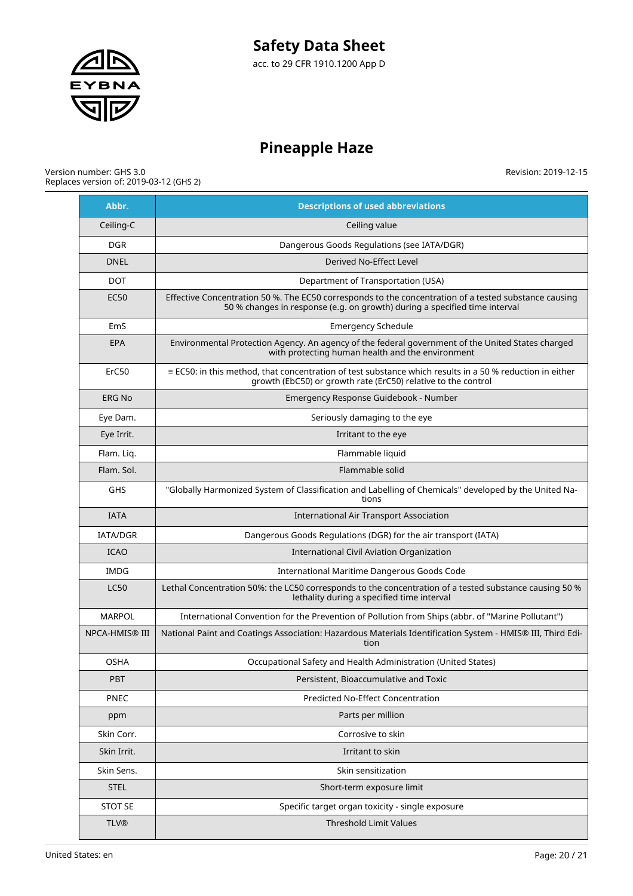

# **Pineapple Haze**

#### Version number: GHS 3.0 Replaces version of: 2019-03-12 (GHS 2)

| Abbr.                 | <b>Descriptions of used abbreviations</b>                                                                                                                                           |
|-----------------------|-------------------------------------------------------------------------------------------------------------------------------------------------------------------------------------|
| Ceiling-C             | Ceiling value                                                                                                                                                                       |
| DGR.                  | Dangerous Goods Regulations (see IATA/DGR)                                                                                                                                          |
| <b>DNEL</b>           | Derived No-Effect Level                                                                                                                                                             |
| <b>DOT</b>            | Department of Transportation (USA)                                                                                                                                                  |
| <b>EC50</b>           | Effective Concentration 50 %. The EC50 corresponds to the concentration of a tested substance causing<br>50 % changes in response (e.g. on growth) during a specified time interval |
| EmS                   | <b>Emergency Schedule</b>                                                                                                                                                           |
| <b>EPA</b>            | Environmental Protection Agency. An agency of the federal government of the United States charged<br>with protecting human health and the environment                               |
| ErC50                 | $\equiv$ EC50: in this method, that concentration of test substance which results in a 50 % reduction in either<br>growth (EbC50) or growth rate (ErC50) relative to the control    |
| <b>ERG No</b>         | Emergency Response Guidebook - Number                                                                                                                                               |
| Eye Dam.              | Seriously damaging to the eye                                                                                                                                                       |
| Eye Irrit.            | Irritant to the eye                                                                                                                                                                 |
| Flam. Liq.            | Flammable liquid                                                                                                                                                                    |
| Flam. Sol.            | Flammable solid                                                                                                                                                                     |
| <b>GHS</b>            | "Globally Harmonized System of Classification and Labelling of Chemicals" developed by the United Na-<br>tions                                                                      |
| <b>IATA</b>           | International Air Transport Association                                                                                                                                             |
| <b>IATA/DGR</b>       | Dangerous Goods Regulations (DGR) for the air transport (IATA)                                                                                                                      |
| <b>ICAO</b>           | International Civil Aviation Organization                                                                                                                                           |
| IMDG                  | International Maritime Dangerous Goods Code                                                                                                                                         |
| <b>LC50</b>           | Lethal Concentration 50%: the LC50 corresponds to the concentration of a tested substance causing 50 %<br>lethality during a specified time interval                                |
| <b>MARPOL</b>         | International Convention for the Prevention of Pollution from Ships (abbr. of "Marine Pollutant")                                                                                   |
| <b>NPCA-HMIS® III</b> | National Paint and Coatings Association: Hazardous Materials Identification System - HMIS® III, Third Edi-<br>tion                                                                  |
| <b>OSHA</b>           | Occupational Safety and Health Administration (United States)                                                                                                                       |
| <b>PBT</b>            | Persistent, Bioaccumulative and Toxic                                                                                                                                               |
| <b>PNEC</b>           | Predicted No-Effect Concentration                                                                                                                                                   |
| ppm                   | Parts per million                                                                                                                                                                   |
| Skin Corr.            | Corrosive to skin                                                                                                                                                                   |
| Skin Irrit.           | Irritant to skin                                                                                                                                                                    |
| Skin Sens.            | Skin sensitization                                                                                                                                                                  |
| <b>STEL</b>           | Short-term exposure limit                                                                                                                                                           |
| <b>STOT SE</b>        | Specific target organ toxicity - single exposure                                                                                                                                    |
| <b>TLV®</b>           | <b>Threshold Limit Values</b>                                                                                                                                                       |